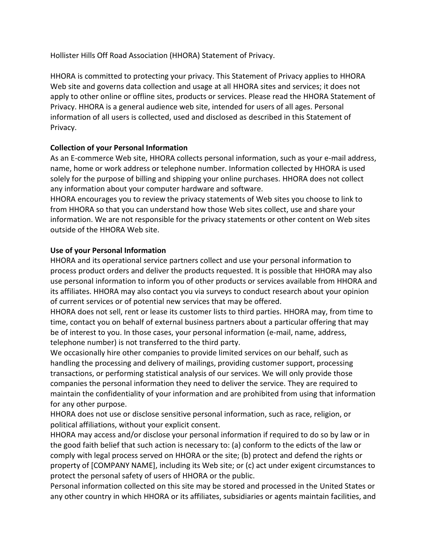Hollister Hills Off Road Association (HHORA) Statement of Privacy.

HHORA is committed to protecting your privacy. This Statement of Privacy applies to HHORA Web site and governs data collection and usage at all HHORA sites and services; it does not apply to other online or offline sites, products or services. Please read the HHORA Statement of Privacy. HHORA is a general audience web site, intended for users of all ages. Personal information of all users is collected, used and disclosed as described in this Statement of Privacy.

# **Collection of your Personal Information**

As an E-commerce Web site, HHORA collects personal information, such as your e-mail address, name, home or work address or telephone number. Information collected by HHORA is used solely for the purpose of billing and shipping your online purchases. HHORA does not collect any information about your computer hardware and software.

HHORA encourages you to review the privacy statements of Web sites you choose to link to from HHORA so that you can understand how those Web sites collect, use and share your information. We are not responsible for the privacy statements or other content on Web sites outside of the HHORA Web site.

## **Use of your Personal Information**

HHORA and its operational service partners collect and use your personal information to process product orders and deliver the products requested. It is possible that HHORA may also use personal information to inform you of other products or services available from HHORA and its affiliates. HHORA may also contact you via surveys to conduct research about your opinion of current services or of potential new services that may be offered.

HHORA does not sell, rent or lease its customer lists to third parties. HHORA may, from time to time, contact you on behalf of external business partners about a particular offering that may be of interest to you. In those cases, your personal information (e-mail, name, address, telephone number) is not transferred to the third party.

We occasionally hire other companies to provide limited services on our behalf, such as handling the processing and delivery of mailings, providing customer support, processing transactions, or performing statistical analysis of our services. We will only provide those companies the personal information they need to deliver the service. They are required to maintain the confidentiality of your information and are prohibited from using that information for any other purpose.

HHORA does not use or disclose sensitive personal information, such as race, religion, or political affiliations, without your explicit consent.

HHORA may access and/or disclose your personal information if required to do so by law or in the good faith belief that such action is necessary to: (a) conform to the edicts of the law or comply with legal process served on HHORA or the site; (b) protect and defend the rights or property of [COMPANY NAME], including its Web site; or (c) act under exigent circumstances to protect the personal safety of users of HHORA or the public.

Personal information collected on this site may be stored and processed in the United States or any other country in which HHORA or its affiliates, subsidiaries or agents maintain facilities, and